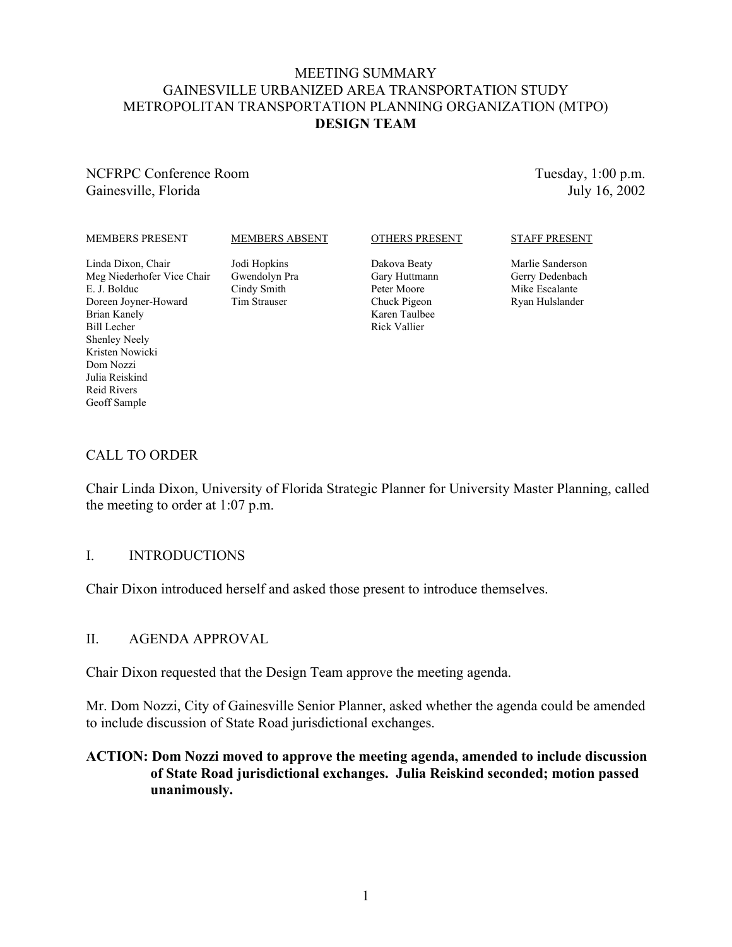#### MEETING SUMMARY GAINESVILLE URBANIZED AREA TRANSPORTATION STUDY METROPOLITAN TRANSPORTATION PLANNING ORGANIZATION (MTPO) **DESIGN TEAM**

NCFRPC Conference Room Gainesville, Florida

Tuesday, 1:00 p.m. July 16, 2002

#### MEMBERS PRESENT

MEMBERS ABSENT

#### OTHERS PRESENT

Dakova Beaty Gary Huttmann Peter Moore Chuck Pigeon Rick Vallier

#### STAFF PRESENT

Marlie Sanderson Gerry Dedenbach Mike Escalante Ryan Hulslander

Linda Dixon, Chair Meg Niederhofer Vice Chair

#### E. J. Bolduc Doreen Joyner-Howard Brian Kanely Bill Lecher Shenley Neely Kristen Nowicki Dom Nozzi Julia Reiskind Reid Rivers Geoff Sample

Jodi Hopkins Gwendolyn Pra Cindy Smith Tim Strauser

Karen Taulbee

## CALL TO ORDER

Chair Linda Dixon, University of Florida Strategic Planner for University Master Planning, called the meeting to order at 1:07 p.m.

#### I. INTRODUCTIONS

Chair Dixon introduced herself and asked those present to introduce themselves.

#### II. AGENDA APPROVAL

Chair Dixon requested that the Design Team approve the meeting agenda.

Mr. Dom Nozzi, City of Gainesville Senior Planner, asked whether the agenda could be amended to include discussion of State Road jurisdictional exchanges.

#### **ACTION: Dom Nozzi moved to approve the meeting agenda, amended to include discussion of State Road jurisdictional exchanges. Julia Reiskind seconded; motion passed unanimously.**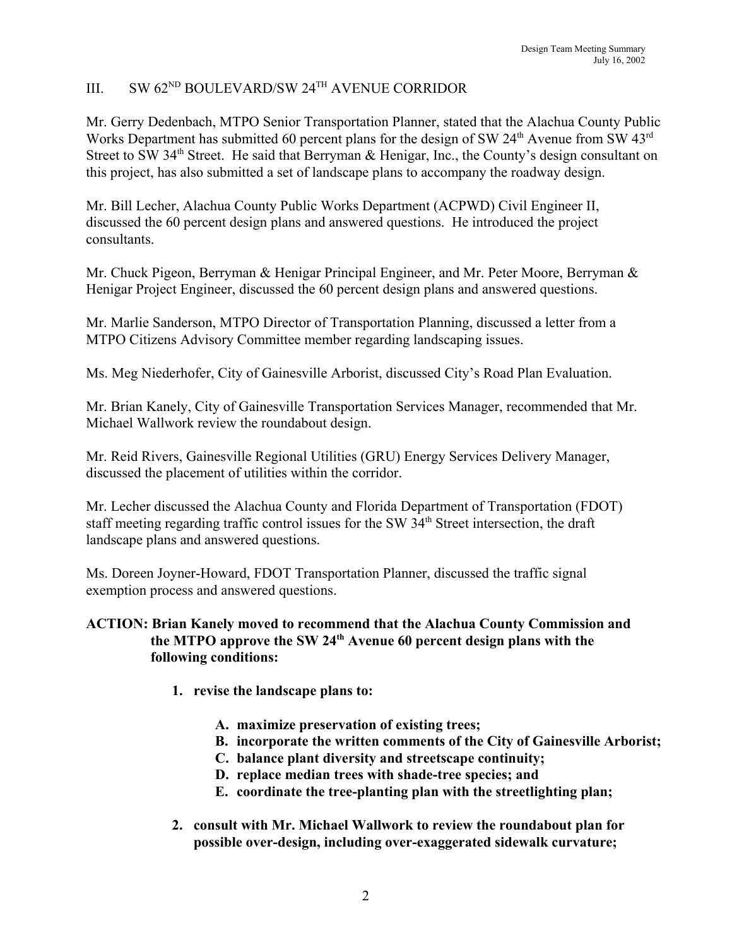# III. SW 62<sup>ND</sup> BOULEVARD/SW 24<sup>TH</sup> AVENUE CORRIDOR

Mr. Gerry Dedenbach, MTPO Senior Transportation Planner, stated that the Alachua County Public Works Department has submitted 60 percent plans for the design of SW  $24<sup>th</sup>$  Avenue from SW  $43<sup>rd</sup>$ Street to SW 34<sup>th</sup> Street. He said that Berryman & Henigar, Inc., the County's design consultant on this project, has also submitted a set of landscape plans to accompany the roadway design.

Mr. Bill Lecher, Alachua County Public Works Department (ACPWD) Civil Engineer II, discussed the 60 percent design plans and answered questions. He introduced the project consultants.

Mr. Chuck Pigeon, Berryman & Henigar Principal Engineer, and Mr. Peter Moore, Berryman & Henigar Project Engineer, discussed the 60 percent design plans and answered questions.

Mr. Marlie Sanderson, MTPO Director of Transportation Planning, discussed a letter from a MTPO Citizens Advisory Committee member regarding landscaping issues.

Ms. Meg Niederhofer, City of Gainesville Arborist, discussed City's Road Plan Evaluation.

Mr. Brian Kanely, City of Gainesville Transportation Services Manager, recommended that Mr. Michael Wallwork review the roundabout design.

Mr. Reid Rivers, Gainesville Regional Utilities (GRU) Energy Services Delivery Manager, discussed the placement of utilities within the corridor.

Mr. Lecher discussed the Alachua County and Florida Department of Transportation (FDOT) staff meeting regarding traffic control issues for the SW 34<sup>th</sup> Street intersection, the draft landscape plans and answered questions.

Ms. Doreen Joyner-Howard, FDOT Transportation Planner, discussed the traffic signal exemption process and answered questions.

#### **ACTION: Brian Kanely moved to recommend that the Alachua County Commission and the MTPO approve the SW 24th Avenue 60 percent design plans with the following conditions:**

- **1. revise the landscape plans to:**
	- **A. maximize preservation of existing trees;**
	- **B. incorporate the written comments of the City of Gainesville Arborist;**
	- **C. balance plant diversity and streetscape continuity;**
	- **D. replace median trees with shade-tree species; and**
	- **E. coordinate the tree-planting plan with the streetlighting plan;**
- **2. consult with Mr. Michael Wallwork to review the roundabout plan for possible over-design, including over-exaggerated sidewalk curvature;**